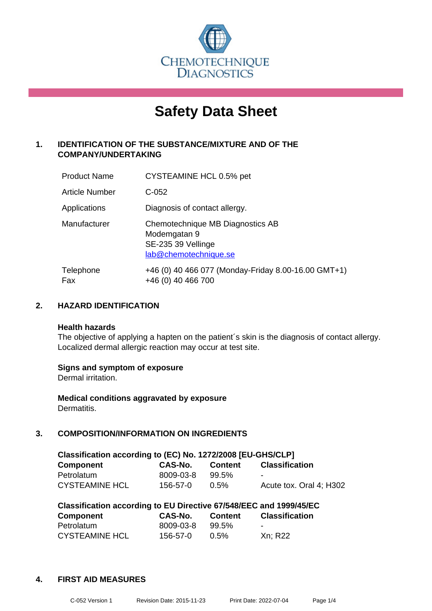

# **Safety Data Sheet**

## **1. IDENTIFICATION OF THE SUBSTANCE/MIXTURE AND OF THE COMPANY/UNDERTAKING**

| <b>Product Name</b> | CYSTEAMINE HCL 0.5% pet                                                                         |
|---------------------|-------------------------------------------------------------------------------------------------|
| Article Number      | $C-052$                                                                                         |
| Applications        | Diagnosis of contact allergy.                                                                   |
| Manufacturer        | Chemotechnique MB Diagnostics AB<br>Modemgatan 9<br>SE-235 39 Vellinge<br>lab@chemotechnique.se |
| Telephone<br>Fax    | +46 (0) 40 466 077 (Monday-Friday 8.00-16.00 GMT+1)<br>+46 (0) 40 466 700                       |

## **2. HAZARD IDENTIFICATION**

#### **Health hazards**

The objective of applying a hapten on the patient's skin is the diagnosis of contact allergy. Localized dermal allergic reaction may occur at test site.

## **Signs and symptom of exposure**

Dermal irritation.

**Medical conditions aggravated by exposure** Dermatitis.

## **3. COMPOSITION/INFORMATION ON INGREDIENTS**

| Classification according to (EC) No. 1272/2008 [EU-GHS/CLP] |           |         |                         |  |
|-------------------------------------------------------------|-----------|---------|-------------------------|--|
| <b>Component</b>                                            | CAS-No.   | Content | <b>Classification</b>   |  |
| Petrolatum                                                  | 8009-03-8 | 99.5%   | -                       |  |
| <b>CYSTEAMINE HCL</b>                                       | 156-57-0  | $0.5\%$ | Acute tox. Oral 4: H302 |  |

| Classification according to EU Directive 67/548/EEC and 1999/45/EC |           |                |                       |  |
|--------------------------------------------------------------------|-----------|----------------|-----------------------|--|
| <b>Component</b>                                                   | CAS-No.   | <b>Content</b> | <b>Classification</b> |  |
| Petrolatum                                                         | 8009-03-8 | 99.5%          | -                     |  |
| <b>CYSTEAMINE HCL</b>                                              | 156-57-0  | 0.5%           | Xn: R22               |  |

#### **4. FIRST AID MEASURES**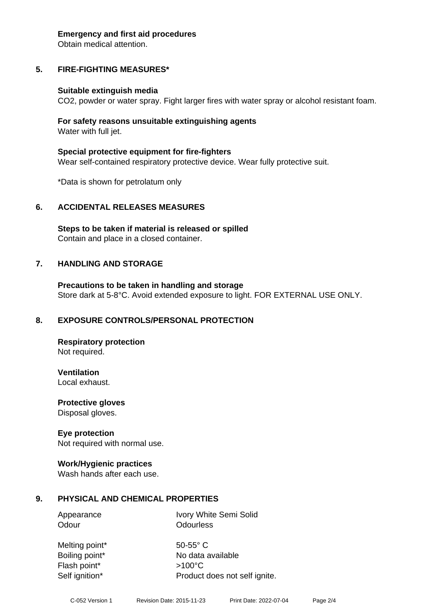#### **Emergency and first aid procedures**

Obtain medical attention.

# **5. FIRE-FIGHTING MEASURES\***

## **Suitable extinguish media**

CO2, powder or water spray. Fight larger fires with water spray or alcohol resistant foam.

## **For safety reasons unsuitable extinguishing agents** Water with full jet.

**Special protective equipment for fire-fighters** Wear self-contained respiratory protective device. Wear fully protective suit.

\*Data is shown for petrolatum only

# **6. ACCIDENTAL RELEASES MEASURES**

**Steps to be taken if material is released or spilled** Contain and place in a closed container.

# **7. HANDLING AND STORAGE**

**Precautions to be taken in handling and storage** Store dark at 5-8°C. Avoid extended exposure to light. FOR EXTERNAL USE ONLY.

# **8. EXPOSURE CONTROLS/PERSONAL PROTECTION**

**Respiratory protection** Not required.

**Ventilation** Local exhaust.

**Protective gloves** Disposal gloves.

## **Eye protection**

Not required with normal use.

## **Work/Hygienic practices**

Wash hands after each use.

# **9. PHYSICAL AND CHEMICAL PROPERTIES**

Appearance Ivory White Semi Solid Odour **Odourless** 

Melting point\* 50-55° C Flash point\* >100°C Self ignition\* Product does not self ignite.

Boiling point\* No data available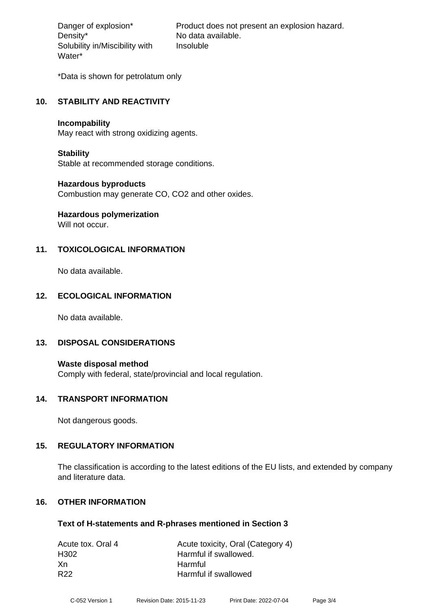Density\* No data available. Solubility in/Miscibility with Water\*

Danger of explosion\* Product does not present an explosion hazard. Insoluble

\*Data is shown for petrolatum only

## **10. STABILITY AND REACTIVITY**

#### **Incompability**

May react with strong oxidizing agents.

## **Stability**

Stable at recommended storage conditions.

## **Hazardous byproducts**

Combustion may generate CO, CO2 and other oxides.

# **Hazardous polymerization**

Will not occur.

## **11. TOXICOLOGICAL INFORMATION**

No data available.

## **12. ECOLOGICAL INFORMATION**

No data available.

## **13. DISPOSAL CONSIDERATIONS**

**Waste disposal method** Comply with federal, state/provincial and local regulation.

## **14. TRANSPORT INFORMATION**

Not dangerous goods.

## **15. REGULATORY INFORMATION**

The classification is according to the latest editions of the EU lists, and extended by company and literature data.

## **16. OTHER INFORMATION**

## **Text of H-statements and R-phrases mentioned in Section 3**

| Acute tox. Oral 4 | Acute toxicity, Oral (Category 4) |
|-------------------|-----------------------------------|
| H302              | Harmful if swallowed.             |
| -Xn               | Harmful                           |
| R <sub>22</sub>   | Harmful if swallowed              |